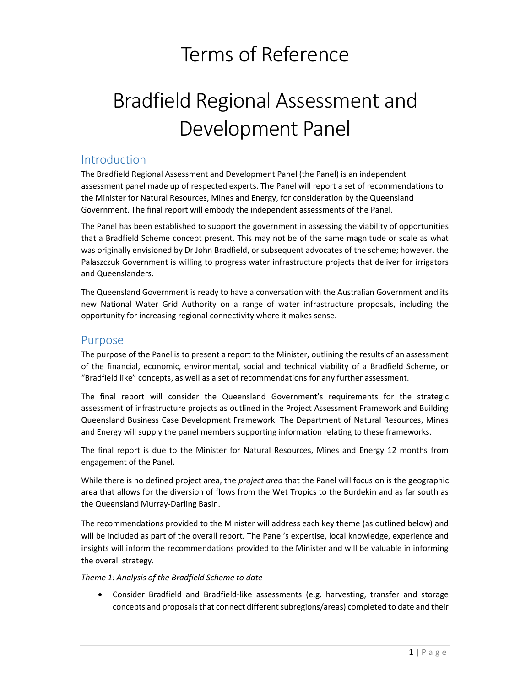## Terms of Reference

# Bradfield Regional Assessment and Development Panel

## Introduction

 The Bradfield Regional Assessment and Development Panel (the Panel) is an independent assessment panel made up of respected experts. The Panel will report a set of recommendations to the Minister for Natural Resources, Mines and Energy, for consideration by the Queensland Government. The final report will embody the independent assessments of the Panel.

 The Panel has been established to support the government in assessing the viability of opportunities that a Bradfield Scheme concept present. This may not be of the same magnitude or scale as what was originally envisioned by Dr John Bradfield, or subsequent advocates of the scheme; however, the Palaszczuk Government is willing to progress water infrastructure projects that deliver for irrigators and Queenslanders.

 The Queensland Government is ready to have a conversation with the Australian Government and its new National Water Grid Authority on a range of water infrastructure proposals, including the opportunity for increasing regional connectivity where it makes sense.

## Purpose

 The purpose of the Panel is to present a report to the Minister, outlining the results of an assessment of the financial, economic, environmental, social and technical viability of a Bradfield Scheme, or "Bradfield like" concepts, as well as a set of recommendations for any further assessment.

 The final report will consider the Queensland Government's requirements for the strategic assessment of infrastructure projects as outlined in the Project Assessment Framework and Building Queensland Business Case Development Framework. The Department of Natural Resources, Mines and Energy will supply the panel members supporting information relating to these frameworks.

 The final report is due to the Minister for Natural Resources, Mines and Energy 12 months from engagement of the Panel.

While there is no defined project area, the *project area* that the Panel will focus on is the geographic area that allows for the diversion of flows from the Wet Tropics to the Burdekin and as far south as the Queensland Murray-Darling Basin.

 The recommendations provided to the Minister will address each key theme (as outlined below) and will be included as part of the overall report. The Panel's expertise, local knowledge, experience and insights will inform the recommendations provided to the Minister and will be valuable in informing the overall strategy.

#### Theme 1: Analysis of the Bradfield Scheme to date

 Consider Bradfield and Bradfield-like assessments (e.g. harvesting, transfer and storage concepts and proposals that connect different subregions/areas) completed to date and their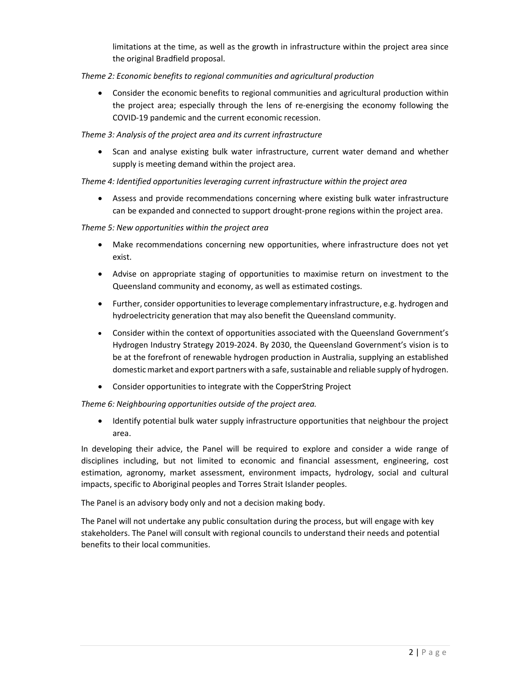limitations at the time, as well as the growth in infrastructure within the project area since the original Bradfield proposal.

## Theme 2: Economic benefits to regional communities and agricultural production

 Consider the economic benefits to regional communities and agricultural production within the project area; especially through the lens of re-energising the economy following the COVID-19 pandemic and the current economic recession.

#### Theme 3: Analysis of the project area and its current infrastructure

• Scan and analyse existing bulk water infrastructure, current water demand and whether supply is meeting demand within the project area.

## Theme 4: Identified opportunities leveraging current infrastructure within the project area

 Assess and provide recommendations concerning where existing bulk water infrastructure can be expanded and connected to support drought-prone regions within the project area.

#### Theme 5: New opportunities within the project area

- Make recommendations concerning new opportunities, where infrastructure does not yet exist.
- Advise on appropriate staging of opportunities to maximise return on investment to the Queensland community and economy, as well as estimated costings.
- Further, consider opportunities to leverage complementary infrastructure, e.g. hydrogen and hydroelectricity generation that may also benefit the Queensland community.
- Consider within the context of opportunities associated with the Queensland Government's Hydrogen Industry Strategy 2019-2024. By 2030, the Queensland Government's vision is to be at the forefront of renewable hydrogen production in Australia, supplying an established domestic market and export partners with a safe, sustainable and reliable supply of hydrogen.
- Consider opportunities to integrate with the CopperString Project

## Theme 6: Neighbouring opportunities outside of the project area.

 Identify potential bulk water supply infrastructure opportunities that neighbour the project area.

 In developing their advice, the Panel will be required to explore and consider a wide range of disciplines including, but not limited to economic and financial assessment, engineering, cost estimation, agronomy, market assessment, environment impacts, hydrology, social and cultural impacts, specific to Aboriginal peoples and Torres Strait Islander peoples.

The Panel is an advisory body only and not a decision making body.

 The Panel will not undertake any public consultation during the process, but will engage with key stakeholders. The Panel will consult with regional councils to understand their needs and potential benefits to their local communities.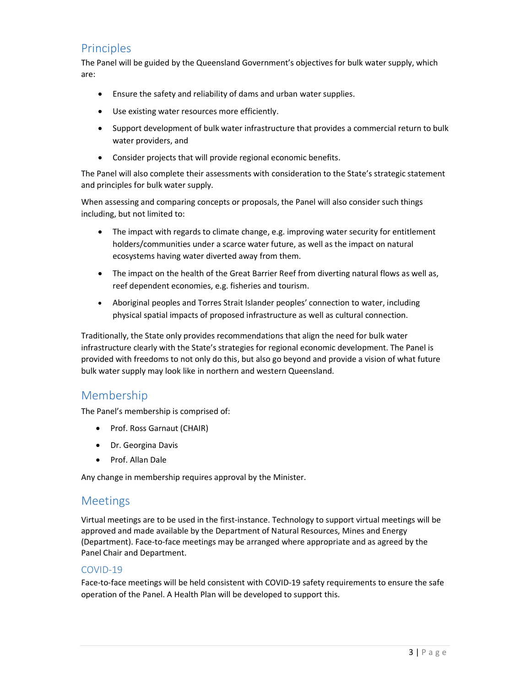## **Principles**

 The Panel will be guided by the Queensland Government's objectives for bulk water supply, which are:

- Ensure the safety and reliability of dams and urban water supplies.
- Use existing water resources more efficiently.
- Support development of bulk water infrastructure that provides a commercial return to bulk water providers, and
- Consider projects that will provide regional economic benefits.

 The Panel will also complete their assessments with consideration to the State's strategic statement and principles for bulk water supply.

 When assessing and comparing concepts or proposals, the Panel will also consider such things including, but not limited to:

- The impact with regards to climate change, e.g. improving water security for entitlement holders/communities under a scarce water future, as well as the impact on natural ecosystems having water diverted away from them.
- The impact on the health of the Great Barrier Reef from diverting natural flows as well as, reef dependent economies, e.g. fisheries and tourism.
- Aboriginal peoples and Torres Strait Islander peoples' connection to water, including physical spatial impacts of proposed infrastructure as well as cultural connection.

 Traditionally, the State only provides recommendations that align the need for bulk water infrastructure clearly with the State's strategies for regional economic development. The Panel is provided with freedoms to not only do this, but also go beyond and provide a vision of what future bulk water supply may look like in northern and western Queensland.

## Membership

The Panel's membership is comprised of:

- Prof. Ross Garnaut (CHAIR)
- Dr. Georgina Davis
- Prof. Allan Dale

Any change in membership requires approval by the Minister.

## Meetings

 Virtual meetings are to be used in the first-instance. Technology to support virtual meetings will be approved and made available by the Department of Natural Resources, Mines and Energy (Department). Face-to-face meetings may be arranged where appropriate and as agreed by the Panel Chair and Department.

## COVID-19

 Face-to-face meetings will be held consistent with COVID-19 safety requirements to ensure the safe operation of the Panel. A Health Plan will be developed to support this.